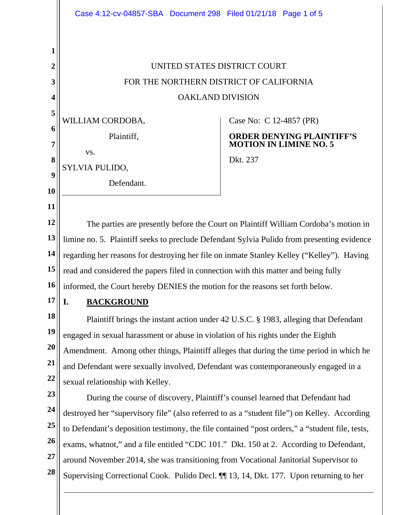|                  | Case 4:12-cv-04857-SBA Document 298 Filed 01/21/18 Page 1 of 5                                 |                                                                   |  |
|------------------|------------------------------------------------------------------------------------------------|-------------------------------------------------------------------|--|
|                  |                                                                                                |                                                                   |  |
| 1                |                                                                                                |                                                                   |  |
| $\boldsymbol{2}$ | UNITED STATES DISTRICT COURT                                                                   |                                                                   |  |
| 3                | FOR THE NORTHERN DISTRICT OF CALIFORNIA                                                        |                                                                   |  |
| 4                | <b>OAKLAND DIVISION</b>                                                                        |                                                                   |  |
| 5<br>6           | WILLIAM CORDOBA,                                                                               | Case No: C 12-4857 (PR)                                           |  |
| 7                | Plaintiff,                                                                                     | <b>ORDER DENYING PLAINTIFF'S</b><br><b>MOTION IN LIMINE NO. 5</b> |  |
| 8                | VS.                                                                                            | Dkt. 237                                                          |  |
| 9                | SYLVIA PULIDO,                                                                                 |                                                                   |  |
| 10               | Defendant.                                                                                     |                                                                   |  |
| 11               |                                                                                                |                                                                   |  |
| 12               | The parties are presently before the Court on Plaintiff William Cordoba's motion in            |                                                                   |  |
| 13               | limine no. 5. Plaintiff seeks to preclude Defendant Sylvia Pulido from presenting evidence     |                                                                   |  |
| 14               | regarding her reasons for destroying her file on inmate Stanley Kelley ("Kelley"). Having      |                                                                   |  |
| 15               | read and considered the papers filed in connection with this matter and being fully            |                                                                   |  |
| <b>16</b>        | informed, the Court hereby DENIES the motion for the reasons set forth below.                  |                                                                   |  |
| 17               | I.<br><b>BACKGROUND</b>                                                                        |                                                                   |  |
| 18               | Plaintiff brings the instant action under 42 U.S.C. § 1983, alleging that Defendant            |                                                                   |  |
| 19               | engaged in sexual harassment or abuse in violation of his rights under the Eighth              |                                                                   |  |
| 20               | Amendment. Among other things, Plaintiff alleges that during the time period in which he       |                                                                   |  |
| 21               | and Defendant were sexually involved, Defendant was contemporaneously engaged in a             |                                                                   |  |
| 22               | sexual relationship with Kelley.                                                               |                                                                   |  |
| 23               | During the course of discovery, Plaintiff's counsel learned that Defendant had                 |                                                                   |  |
| 24               | destroyed her "supervisory file" (also referred to as a "student file") on Kelley. According   |                                                                   |  |
| 25<br>26         | to Defendant's deposition testimony, the file contained "post orders," a "student file, tests, |                                                                   |  |
| 27               | exams, whatnot," and a file entitled "CDC 101." Dkt. 150 at 2. According to Defendant,         |                                                                   |  |
| 28               | around November 2014, she was transitioning from Vocational Janitorial Supervisor to           |                                                                   |  |
|                  | Supervising Correctional Cook. Pulido Decl. [1] 13, 14, Dkt. 177. Upon returning to her        |                                                                   |  |
|                  |                                                                                                |                                                                   |  |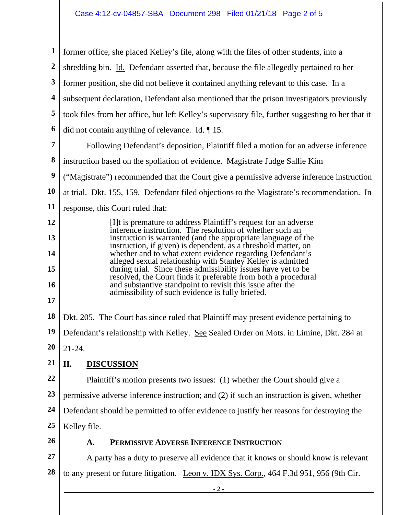| $\mathbf{1}$     | former office, she placed Kelley's file, along with the files of other students, into a                                                                                                                                                                     |  |  |
|------------------|-------------------------------------------------------------------------------------------------------------------------------------------------------------------------------------------------------------------------------------------------------------|--|--|
| $\boldsymbol{2}$ | shredding bin. Id. Defendant asserted that, because the file allegedly pertained to her                                                                                                                                                                     |  |  |
| 3                | former position, she did not believe it contained anything relevant to this case. In a                                                                                                                                                                      |  |  |
| 4                | subsequent declaration, Defendant also mentioned that the prison investigators previously                                                                                                                                                                   |  |  |
| 5                | took files from her office, but left Kelley's supervisory file, further suggesting to her that it                                                                                                                                                           |  |  |
| 6                | did not contain anything of relevance. $\underline{Id}$ . $\P$ 15.                                                                                                                                                                                          |  |  |
| 7                | Following Defendant's deposition, Plaintiff filed a motion for an adverse inference                                                                                                                                                                         |  |  |
| 8                | instruction based on the spoliation of evidence. Magistrate Judge Sallie Kim                                                                                                                                                                                |  |  |
| $\boldsymbol{9}$ | ("Magistrate") recommended that the Court give a permissive adverse inference instruction                                                                                                                                                                   |  |  |
| 10               | at trial. Dkt. 155, 159. Defendant filed objections to the Magistrate's recommendation. In                                                                                                                                                                  |  |  |
| 11               | response, this Court ruled that:                                                                                                                                                                                                                            |  |  |
| 12               | [I] t is premature to address Plaintiff's request for an adverse<br>inference instruction. The resolution of whether such an                                                                                                                                |  |  |
| 13               | instruction is warranted (and the appropriate language of the<br>instruction, if given) is dependent, as a threshold matter, on                                                                                                                             |  |  |
| 14               | whether and to what extent evidence regarding Defendant's<br>alleged sexual relationship with Stanley Kelley is admitted<br>during trial. Since these admissibility issues have yet to be<br>resolved, the Court finds it preferable from both a procedural |  |  |
| 15               |                                                                                                                                                                                                                                                             |  |  |
| 16               | and substantive standpoint to revisit this issue after the<br>admissibility of such evidence is fully briefed.                                                                                                                                              |  |  |
| 17               |                                                                                                                                                                                                                                                             |  |  |
| 18               | Dkt. 205. The Court has since ruled that Plaintiff may present evidence pertaining to                                                                                                                                                                       |  |  |
| $19$             | Defendant's relationship with Kelley. See Sealed Order on Mots. in Limine, Dkt. 284 at                                                                                                                                                                      |  |  |
| 20               | $21 - 24.$                                                                                                                                                                                                                                                  |  |  |
| 21               | <b>DISCUSSION</b><br>II.                                                                                                                                                                                                                                    |  |  |
| 22               | Plaintiff's motion presents two issues: (1) whether the Court should give a                                                                                                                                                                                 |  |  |
| 23               | permissive adverse inference instruction; and (2) if such an instruction is given, whether                                                                                                                                                                  |  |  |
| 24               | Defendant should be permitted to offer evidence to justify her reasons for destroying the                                                                                                                                                                   |  |  |
| 25               | Kelley file.                                                                                                                                                                                                                                                |  |  |
| 26               | PERMISSIVE ADVERSE INFERENCE INSTRUCTION<br>A.                                                                                                                                                                                                              |  |  |
| 27               | A party has a duty to preserve all evidence that it knows or should know is relevant                                                                                                                                                                        |  |  |
| 28               | to any present or future litigation. Leon v. IDX Sys. Corp., 464 F.3d 951, 956 (9th Cir.                                                                                                                                                                    |  |  |
|                  | $-2$ -                                                                                                                                                                                                                                                      |  |  |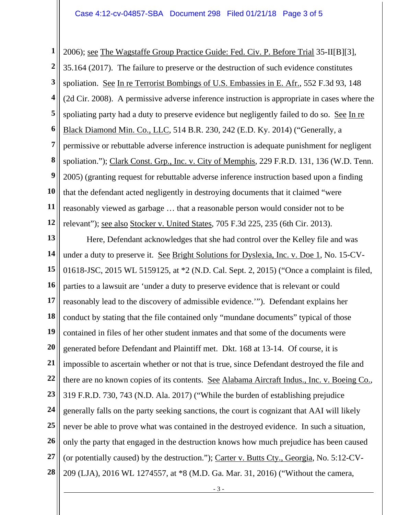**1 2 3 4 5 6 7 8 9 10 11 12**  2006); see The Wagstaffe Group Practice Guide: Fed. Civ. P. Before Trial 35-II[B][3], 35.164 (2017). The failure to preserve or the destruction of such evidence constitutes spoliation. See In re Terrorist Bombings of U.S. Embassies in E. Afr., 552 F.3d 93, 148 (2d Cir. 2008). A permissive adverse inference instruction is appropriate in cases where the spoliating party had a duty to preserve evidence but negligently failed to do so. See In re Black Diamond Min. Co., LLC, 514 B.R. 230, 242 (E.D. Ky. 2014) ("Generally, a permissive or rebuttable adverse inference instruction is adequate punishment for negligent spoliation."); Clark Const. Grp., Inc. v. City of Memphis, 229 F.R.D. 131, 136 (W.D. Tenn. 2005) (granting request for rebuttable adverse inference instruction based upon a finding that the defendant acted negligently in destroying documents that it claimed "were reasonably viewed as garbage … that a reasonable person would consider not to be relevant"); see also Stocker v. United States, 705 F.3d 225, 235 (6th Cir. 2013).

**13 14 15 16 17 18 19 20 21 22 23 24 25 26 27 28**  Here, Defendant acknowledges that she had control over the Kelley file and was under a duty to preserve it. See Bright Solutions for Dyslexia, Inc. v. Doe 1, No. 15-CV-01618-JSC, 2015 WL 5159125, at \*2 (N.D. Cal. Sept. 2, 2015) ("Once a complaint is filed, parties to a lawsuit are 'under a duty to preserve evidence that is relevant or could reasonably lead to the discovery of admissible evidence.'"). Defendant explains her conduct by stating that the file contained only "mundane documents" typical of those contained in files of her other student inmates and that some of the documents were generated before Defendant and Plaintiff met. Dkt. 168 at 13-14. Of course, it is impossible to ascertain whether or not that is true, since Defendant destroyed the file and there are no known copies of its contents. See Alabama Aircraft Indus., Inc. v. Boeing Co., 319 F.R.D. 730, 743 (N.D. Ala. 2017) ("While the burden of establishing prejudice generally falls on the party seeking sanctions, the court is cognizant that AAI will likely never be able to prove what was contained in the destroyed evidence. In such a situation, only the party that engaged in the destruction knows how much prejudice has been caused (or potentially caused) by the destruction."); Carter v. Butts Cty., Georgia, No. 5:12-CV-209 (LJA), 2016 WL 1274557, at \*8 (M.D. Ga. Mar. 31, 2016) ("Without the camera,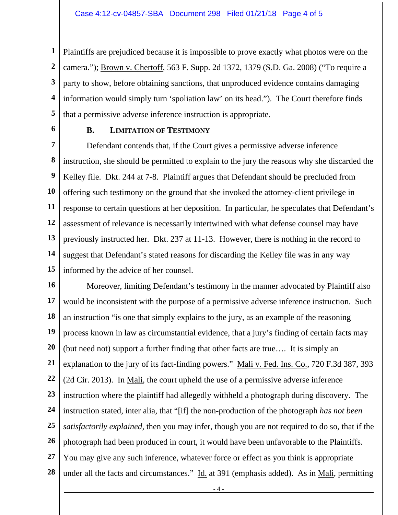**1 2 3 4 5**  Plaintiffs are prejudiced because it is impossible to prove exactly what photos were on the camera."); Brown v. Chertoff, 563 F. Supp. 2d 1372, 1379 (S.D. Ga. 2008) ("To require a party to show, before obtaining sanctions, that unproduced evidence contains damaging information would simply turn 'spoliation law' on its head."). The Court therefore finds that a permissive adverse inference instruction is appropriate.

**6** 

## **B. LIMITATION OF TESTIMONY**

**7 8 9 10 11 12 13 14 15**  Defendant contends that, if the Court gives a permissive adverse inference instruction, she should be permitted to explain to the jury the reasons why she discarded the Kelley file. Dkt. 244 at 7-8. Plaintiff argues that Defendant should be precluded from offering such testimony on the ground that she invoked the attorney-client privilege in response to certain questions at her deposition. In particular, he speculates that Defendant's assessment of relevance is necessarily intertwined with what defense counsel may have previously instructed her. Dkt. 237 at 11-13. However, there is nothing in the record to suggest that Defendant's stated reasons for discarding the Kelley file was in any way informed by the advice of her counsel.

**16 17 18 19 20 21 22 23 24 25 26 27 28**  Moreover, limiting Defendant's testimony in the manner advocated by Plaintiff also would be inconsistent with the purpose of a permissive adverse inference instruction. Such an instruction "is one that simply explains to the jury, as an example of the reasoning process known in law as circumstantial evidence, that a jury's finding of certain facts may (but need not) support a further finding that other facts are true…. It is simply an explanation to the jury of its fact-finding powers." Mali v. Fed. Ins. Co., 720 F.3d 387, 393 (2d Cir. 2013). In Mali, the court upheld the use of a permissive adverse inference instruction where the plaintiff had allegedly withheld a photograph during discovery. The instruction stated, inter alia, that "[if] the non-production of the photograph *has not been satisfactorily explained*, then you may infer, though you are not required to do so, that if the photograph had been produced in court, it would have been unfavorable to the Plaintiffs. You may give any such inference, whatever force or effect as you think is appropriate under all the facts and circumstances." Id. at 391 (emphasis added). As in Mali, permitting

- 4 -